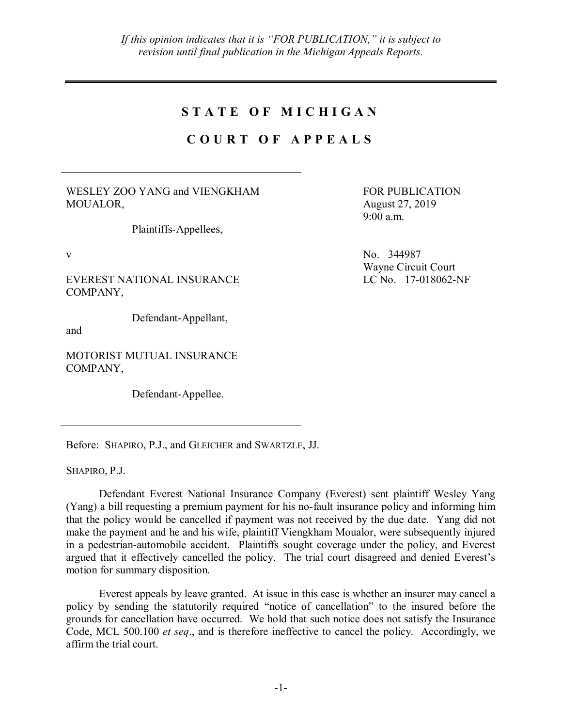## **S T A T E O F M I C H I G A N**

## **C O U R T O F A P P E A L S**

WESLEY ZOO YANG and VIENGKHAM MOUALOR,

Plaintiffs-Appellees,

EVEREST NATIONAL INSURANCE COMPANY,

Defendant-Appellant,

and

MOTORIST MUTUAL INSURANCE COMPANY,

Defendant-Appellee.

Before: SHAPIRO, P.J., and GLEICHER and SWARTZLE, JJ.

SHAPIRO, P.J.

Defendant Everest National Insurance Company (Everest) sent plaintiff Wesley Yang (Yang) a bill requesting a premium payment for his no-fault insurance policy and informing him that the policy would be cancelled if payment was not received by the due date. Yang did not make the payment and he and his wife, plaintiff Viengkham Moualor, were subsequently injured in a pedestrian-automobile accident. Plaintiffs sought coverage under the policy, and Everest argued that it effectively cancelled the policy. The trial court disagreed and denied Everest's motion for summary disposition.

Everest appeals by leave granted. At issue in this case is whether an insurer may cancel a policy by sending the statutorily required "notice of cancellation" to the insured before the grounds for cancellation have occurred. We hold that such notice does not satisfy the Insurance Code, MCL 500.100 *et seq*., and is therefore ineffective to cancel the policy. Accordingly, we affirm the trial court.

FOR PUBLICATION August 27, 2019 9:00 a.m.

v No. 344987 Wayne Circuit Court LC No. 17-018062-NF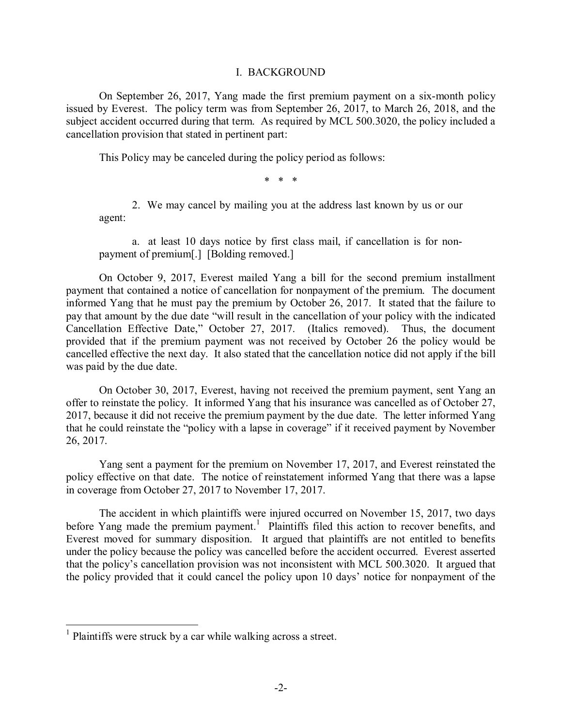## I. BACKGROUND

On September 26, 2017, Yang made the first premium payment on a six-month policy issued by Everest. The policy term was from September 26, 2017, to March 26, 2018, and the subject accident occurred during that term. As required by MCL 500.3020, the policy included a cancellation provision that stated in pertinent part:

This Policy may be canceled during the policy period as follows:

\* \* \*

2. We may cancel by mailing you at the address last known by us or our agent:

a. at least 10 days notice by first class mail, if cancellation is for nonpayment of premium[.] [Bolding removed.]

On October 9, 2017, Everest mailed Yang a bill for the second premium installment payment that contained a notice of cancellation for nonpayment of the premium. The document informed Yang that he must pay the premium by October 26, 2017. It stated that the failure to pay that amount by the due date "will result in the cancellation of your policy with the indicated Cancellation Effective Date," October 27, 2017. (Italics removed). Thus, the document provided that if the premium payment was not received by October 26 the policy would be cancelled effective the next day. It also stated that the cancellation notice did not apply if the bill was paid by the due date.

On October 30, 2017, Everest, having not received the premium payment, sent Yang an offer to reinstate the policy. It informed Yang that his insurance was cancelled as of October 27, 2017, because it did not receive the premium payment by the due date. The letter informed Yang that he could reinstate the "policy with a lapse in coverage" if it received payment by November 26, 2017.

Yang sent a payment for the premium on November 17, 2017, and Everest reinstated the policy effective on that date. The notice of reinstatement informed Yang that there was a lapse in coverage from October 27, 2017 to November 17, 2017.

The accident in which plaintiffs were injured occurred on November 15, 2017, two days before Yang made the premium payment.<sup>1</sup> Plaintiffs filed this action to recover benefits, and Everest moved for summary disposition. It argued that plaintiffs are not entitled to benefits under the policy because the policy was cancelled before the accident occurred. Everest asserted that the policy's cancellation provision was not inconsistent with MCL 500.3020. It argued that the policy provided that it could cancel the policy upon 10 days' notice for nonpayment of the

<sup>&</sup>lt;sup>1</sup> Plaintiffs were struck by a car while walking across a street.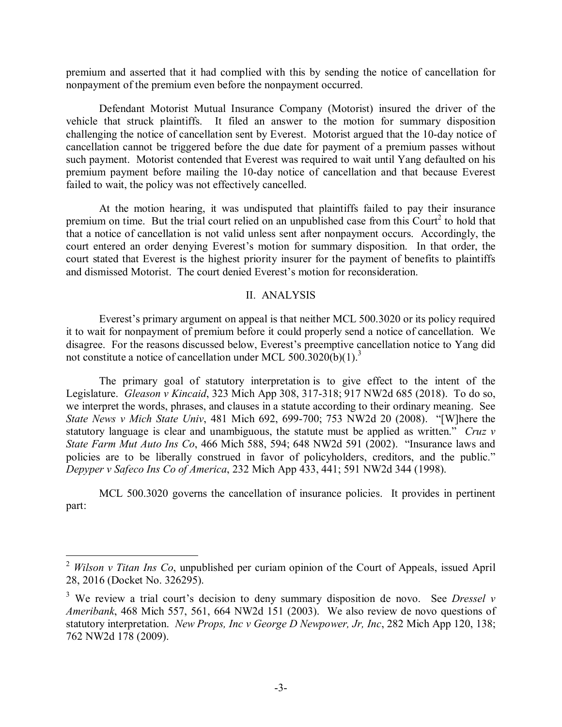premium and asserted that it had complied with this by sending the notice of cancellation for nonpayment of the premium even before the nonpayment occurred.

Defendant Motorist Mutual Insurance Company (Motorist) insured the driver of the vehicle that struck plaintiffs. It filed an answer to the motion for summary disposition challenging the notice of cancellation sent by Everest. Motorist argued that the 10-day notice of cancellation cannot be triggered before the due date for payment of a premium passes without such payment. Motorist contended that Everest was required to wait until Yang defaulted on his premium payment before mailing the 10-day notice of cancellation and that because Everest failed to wait, the policy was not effectively cancelled.

At the motion hearing, it was undisputed that plaintiffs failed to pay their insurance premium on time. But the trial court relied on an unpublished case from this Court<sup>2</sup> to hold that that a notice of cancellation is not valid unless sent after nonpayment occurs. Accordingly, the court entered an order denying Everest's motion for summary disposition. In that order, the court stated that Everest is the highest priority insurer for the payment of benefits to plaintiffs and dismissed Motorist. The court denied Everest's motion for reconsideration.

## II. ANALYSIS

Everest's primary argument on appeal is that neither MCL 500.3020 or its policy required it to wait for nonpayment of premium before it could properly send a notice of cancellation. We disagree. For the reasons discussed below, Everest's preemptive cancellation notice to Yang did not constitute a notice of cancellation under MCL 500.3020(b)(1).<sup>3</sup>

The primary goal of statutory interpretation is to give effect to the intent of the Legislature. *Gleason v Kincaid*, 323 Mich App 308, 317-318; 917 NW2d 685 (2018). To do so, we interpret the words, phrases, and clauses in a statute according to their ordinary meaning. See *State News v Mich State Univ*, 481 Mich 692, 699-700; 753 NW2d 20 (2008). "[W]here the statutory language is clear and unambiguous, the statute must be applied as written." *Cruz v State Farm Mut Auto Ins Co*, 466 Mich 588, 594; 648 NW2d 591 (2002). "Insurance laws and policies are to be liberally construed in favor of policyholders, creditors, and the public." *Depyper v Safeco Ins Co of America*, 232 Mich App 433, 441; 591 NW2d 344 (1998).

MCL 500.3020 governs the cancellation of insurance policies. It provides in pertinent part:

 <sup>2</sup> *Wilson v Titan Ins Co*, unpublished per curiam opinion of the Court of Appeals, issued April 28, 2016 (Docket No. 326295).

<sup>3</sup> We review a trial court's decision to deny summary disposition de novo. See *Dressel v Ameribank*, 468 Mich 557, 561, 664 NW2d 151 (2003). We also review de novo questions of statutory interpretation. *New Props, Inc v George D Newpower, Jr, Inc*, 282 Mich App 120, 138; 762 NW2d 178 (2009).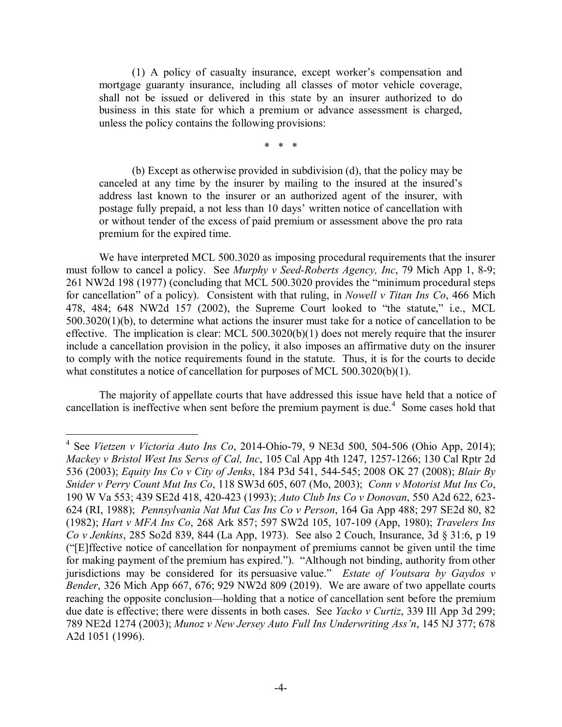(1) A policy of casualty insurance, except worker's compensation and mortgage guaranty insurance, including all classes of motor vehicle coverage, shall not be issued or delivered in this state by an insurer authorized to do business in this state for which a premium or advance assessment is charged, unless the policy contains the following provisions:

\* \* \*

(b) Except as otherwise provided in subdivision (d), that the policy may be canceled at any time by the insurer by mailing to the insured at the insured's address last known to the insurer or an authorized agent of the insurer, with postage fully prepaid, a not less than 10 days' written notice of cancellation with or without tender of the excess of paid premium or assessment above the pro rata premium for the expired time.

We have interpreted MCL 500.3020 as imposing procedural requirements that the insurer must follow to cancel a policy. See *Murphy v Seed-Roberts Agency, Inc*, 79 Mich App 1, 8-9; 261 NW2d 198 (1977) (concluding that MCL 500.3020 provides the "minimum procedural steps for cancellation" of a policy). Consistent with that ruling, in *Nowell v Titan Ins Co*, 466 Mich 478, 484; 648 NW2d 157 (2002), the Supreme Court looked to "the statute," i.e., MCL 500.3020(1)(b), to determine what actions the insurer must take for a notice of cancellation to be effective. The implication is clear: MCL 500.3020(b)(1) does not merely require that the insurer include a cancellation provision in the policy, it also imposes an affirmative duty on the insurer to comply with the notice requirements found in the statute. Thus, it is for the courts to decide what constitutes a notice of cancellation for purposes of MCL 500.3020(b)(1).

The majority of appellate courts that have addressed this issue have held that a notice of cancellation is ineffective when sent before the premium payment is due.<sup>4</sup> Some cases hold that

 <sup>4</sup> See *Vietzen v Victoria Auto Ins Co*, 2014-Ohio-79, 9 NE3d 500, 504-506 (Ohio App, 2014); *Mackey v Bristol West Ins Servs of Cal, Inc*, 105 Cal App 4th 1247, 1257-1266; 130 Cal Rptr 2d 536 (2003); *Equity Ins Co v City of Jenks*, 184 P3d 541, 544-545; 2008 OK 27 (2008); *Blair By Snider v Perry Count Mut Ins Co*, 118 SW3d 605, 607 (Mo, 2003); *Conn v Motorist Mut Ins Co*, 190 W Va 553; 439 SE2d 418, 420-423 (1993); *Auto Club Ins Co v Donovan*, 550 A2d 622, 623- 624 (RI, 1988); *Pennsylvania Nat Mut Cas Ins Co v Person*, 164 Ga App 488; 297 SE2d 80, 82 (1982); *Hart v MFA Ins Co*, 268 Ark 857; 597 SW2d 105, 107-109 (App, 1980); *Travelers Ins Co v Jenkins*, 285 So2d 839, 844 (La App, 1973). See also 2 Couch, Insurance, 3d § 31:6, p 19 ("[E]ffective notice of cancellation for nonpayment of premiums cannot be given until the time for making payment of the premium has expired."). "Although not binding, authority from other jurisdictions may be considered for its persuasive value." *Estate of Voutsara by Gaydos v Bender*, 326 Mich App 667, 676; 929 NW2d 809 (2019). We are aware of two appellate courts reaching the opposite conclusion—holding that a notice of cancellation sent before the premium due date is effective; there were dissents in both cases. See *Yacko v Curtiz*, 339 Ill App 3d 299; 789 NE2d 1274 (2003); *Munoz v New Jersey Auto Full Ins Underwriting Ass'n*, 145 NJ 377; 678 A2d 1051 (1996).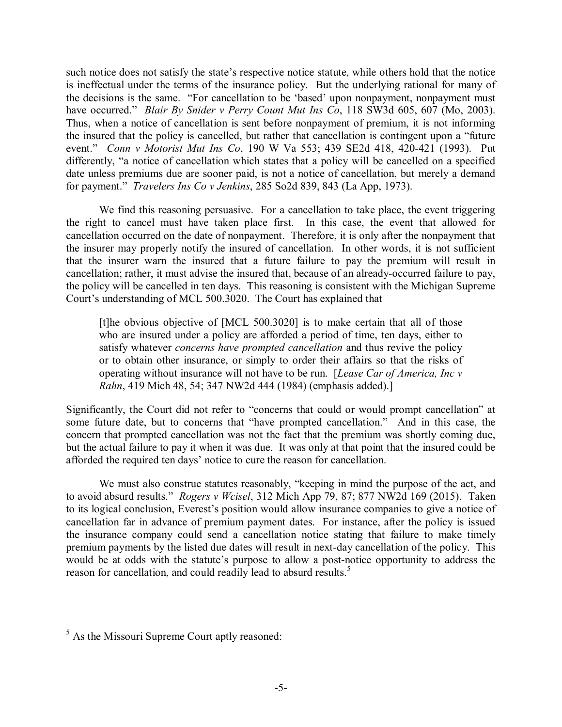such notice does not satisfy the state's respective notice statute, while others hold that the notice is ineffectual under the terms of the insurance policy. But the underlying rational for many of the decisions is the same. "For cancellation to be 'based' upon nonpayment, nonpayment must have occurred." *Blair By Snider v Perry Count Mut Ins Co*, 118 SW3d 605, 607 (Mo, 2003). Thus, when a notice of cancellation is sent before nonpayment of premium, it is not informing the insured that the policy is cancelled, but rather that cancellation is contingent upon a "future event." *Conn v Motorist Mut Ins Co*, 190 W Va 553; 439 SE2d 418, 420-421 (1993). Put differently, "a notice of cancellation which states that a policy will be cancelled on a specified date unless premiums due are sooner paid, is not a notice of cancellation, but merely a demand for payment." *Travelers Ins Co v Jenkins*, 285 So2d 839, 843 (La App, 1973).

We find this reasoning persuasive. For a cancellation to take place, the event triggering the right to cancel must have taken place first. In this case, the event that allowed for cancellation occurred on the date of nonpayment. Therefore, it is only after the nonpayment that the insurer may properly notify the insured of cancellation. In other words, it is not sufficient that the insurer warn the insured that a future failure to pay the premium will result in cancellation; rather, it must advise the insured that, because of an already-occurred failure to pay, the policy will be cancelled in ten days. This reasoning is consistent with the Michigan Supreme Court's understanding of MCL 500.3020. The Court has explained that

[t]he obvious objective of [MCL 500.3020] is to make certain that all of those who are insured under a policy are afforded a period of time, ten days, either to satisfy whatever *concerns have prompted cancellation* and thus revive the policy or to obtain other insurance, or simply to order their affairs so that the risks of operating without insurance will not have to be run. [*Lease Car of America, Inc v Rahn*, 419 Mich 48, 54; 347 NW2d 444 (1984) (emphasis added).]

Significantly, the Court did not refer to "concerns that could or would prompt cancellation" at some future date, but to concerns that "have prompted cancellation." And in this case, the concern that prompted cancellation was not the fact that the premium was shortly coming due, but the actual failure to pay it when it was due. It was only at that point that the insured could be afforded the required ten days' notice to cure the reason for cancellation.

We must also construe statutes reasonably, "keeping in mind the purpose of the act, and to avoid absurd results." *Rogers v Wcisel*, 312 Mich App 79, 87; 877 NW2d 169 (2015). Taken to its logical conclusion, Everest's position would allow insurance companies to give a notice of cancellation far in advance of premium payment dates. For instance, after the policy is issued the insurance company could send a cancellation notice stating that failure to make timely premium payments by the listed due dates will result in next-day cancellation of the policy. This would be at odds with the statute's purpose to allow a post-notice opportunity to address the reason for cancellation, and could readily lead to absurd results.<sup>5</sup>

 <sup>5</sup> As the Missouri Supreme Court aptly reasoned: